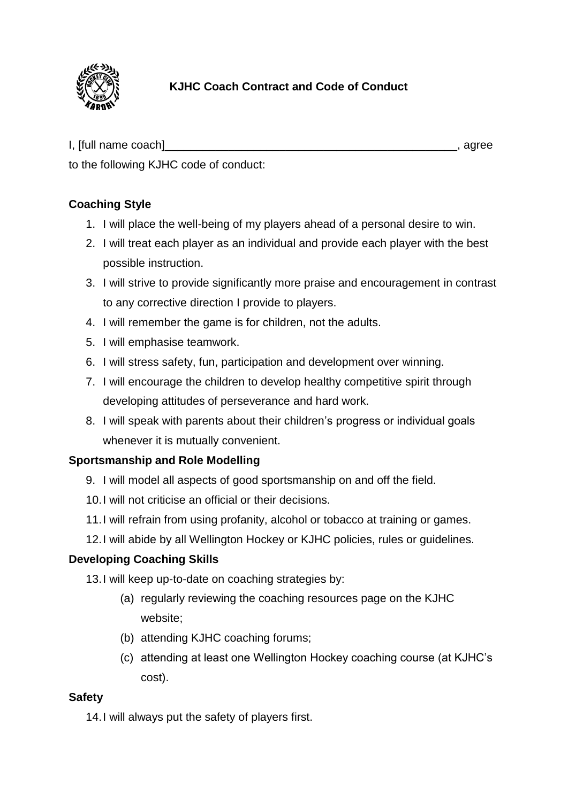

## **KJHC Coach Contract and Code of Conduct**

I, [full name coach]\_\_\_\_\_\_\_\_\_\_\_\_\_\_\_\_\_\_\_\_\_\_\_\_\_\_\_\_\_\_\_\_\_\_\_\_\_\_\_\_\_\_\_\_\_\_, agree

to the following KJHC code of conduct:

### **Coaching Style**

- 1. I will place the well-being of my players ahead of a personal desire to win.
- 2. I will treat each player as an individual and provide each player with the best possible instruction.
- 3. I will strive to provide significantly more praise and encouragement in contrast to any corrective direction I provide to players.
- 4. I will remember the game is for children, not the adults.
- 5. I will emphasise teamwork.
- 6. I will stress safety, fun, participation and development over winning.
- 7. I will encourage the children to develop healthy competitive spirit through developing attitudes of perseverance and hard work.
- 8. I will speak with parents about their children's progress or individual goals whenever it is mutually convenient.

### **Sportsmanship and Role Modelling**

- 9. I will model all aspects of good sportsmanship on and off the field.
- 10.I will not criticise an official or their decisions.
- 11.I will refrain from using profanity, alcohol or tobacco at training or games.
- 12.I will abide by all Wellington Hockey or KJHC policies, rules or guidelines.

#### **Developing Coaching Skills**

13.I will keep up-to-date on coaching strategies by:

- (a) regularly reviewing the coaching resources page on the KJHC website;
- (b) attending KJHC coaching forums;
- (c) attending at least one Wellington Hockey coaching course (at KJHC's cost).

#### **Safety**

14.I will always put the safety of players first.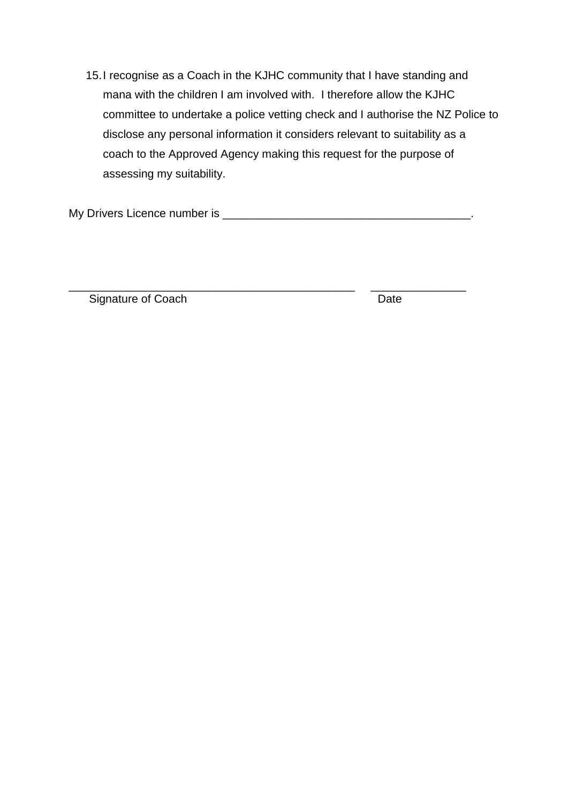15.I recognise as a Coach in the KJHC community that I have standing and mana with the children I am involved with. I therefore allow the KJHC committee to undertake a police vetting check and I authorise the NZ Police to disclose any personal information it considers relevant to suitability as a coach to the Approved Agency making this request for the purpose of assessing my suitability.

\_\_\_\_\_\_\_\_\_\_\_\_\_\_\_\_\_\_\_\_\_\_\_\_\_\_\_\_\_\_\_\_\_\_\_\_\_\_\_\_\_\_\_\_\_ \_\_\_\_\_\_\_\_\_\_\_\_\_\_\_

My Drivers Licence number is \_\_\_\_\_\_\_\_\_\_\_\_\_\_\_\_\_\_\_\_\_\_\_\_\_\_\_\_\_\_\_\_\_\_\_\_\_\_\_.

Signature of Coach Date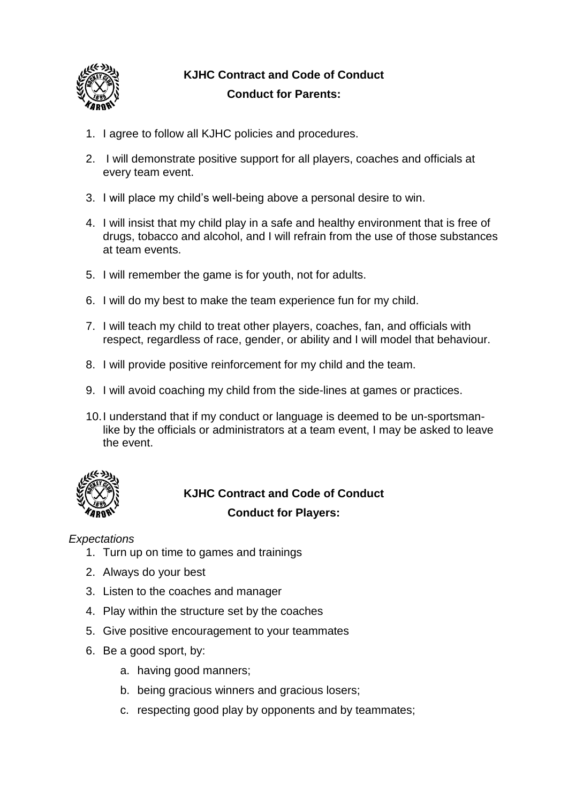

# **KJHC Contract and Code of Conduct Conduct for Parents:**

- 1. I agree to follow all KJHC policies and procedures.
- 2. I will demonstrate positive support for all players, coaches and officials at every team event.
- 3. I will place my child's well-being above a personal desire to win.
- 4. I will insist that my child play in a safe and healthy environment that is free of drugs, tobacco and alcohol, and I will refrain from the use of those substances at team events.
- 5. I will remember the game is for youth, not for adults.
- 6. I will do my best to make the team experience fun for my child.
- 7. I will teach my child to treat other players, coaches, fan, and officials with respect, regardless of race, gender, or ability and I will model that behaviour.
- 8. I will provide positive reinforcement for my child and the team.
- 9. I will avoid coaching my child from the side-lines at games or practices.
- 10.I understand that if my conduct or language is deemed to be un-sportsmanlike by the officials or administrators at a team event, I may be asked to leave the event.



## **KJHC Contract and Code of Conduct Conduct for Players:**

*Expectations*

- 1. Turn up on time to games and trainings
- 2. Always do your best
- 3. Listen to the coaches and manager
- 4. Play within the structure set by the coaches
- 5. Give positive encouragement to your teammates
- 6. Be a good sport, by:
	- a. having good manners;
	- b. being gracious winners and gracious losers;
	- c. respecting good play by opponents and by teammates;